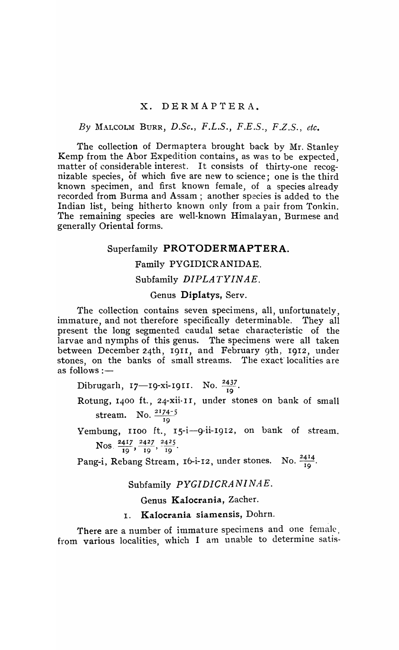# x. DERMAPTERA.

### By 1\fALcoLM BURR, *D.Se.,* F.L.S., F.E.S., F.Z.S., *ete.*

The collection of Dermaptera brought back by Mr. Stanley Kemp from the Abor Expedition contains, as was to be expected, matter of considerable interest. It consists of thirty-one recognizable species, of which five are new to science; one is the third known specimen, and first known female, of a species already recorded from Burma and Assam; another species is added to the Indian list, being hitherto known only from a pair from Tonkin. The remaining species are well-known Himalayan, Burmese and generally Oriental forms.

# Superfamily PROTODERMAPTERA.

# Family PYGIDICRANIDAE.

# Subfamily *DIPLATYINAE.*

### Genus Diplatys, Serv.

The collection contains seven specimens, all, unfortunately, immature, and not therefore specifically determinable. They all present the long segmented caudal setae characteristic of the larvae and nymphs of this genus. The specimens were all taken between December 24th, 1911, and February 9th, 1912, under stones, on the banks of small streams. The exact localities are as follows:-

Dibrugarlı, 17—19-xi-1911. No.  $\frac{2437}{19}$ .

Rotung, 1400 ft., 24-xii-11, under stones on bank of small stream. No.  $\frac{2174-5}{19}$ 

Yembung, 1100 ft., 15-i-9-ii-1912, on bank of stream.  $N_{OS}$   $\frac{2417}{2427}$   $\frac{2427}{2425}$ .  $\frac{1}{19}$ ,  $\frac{1}{19}$ ,  $\frac{1}{19}$ 

Pang-i, Rebang Stream, 16-i-12, under stones. No.  $\frac{2414}{19}$ .

#### Subfamily *PYGIDICRANINAE.*

#### Genus Kalocrania, Zacher.

# I. Kalocrania siamensis, Dohrn.

There are a number of immature specimens and one female, from various localities, which I am unable to determine satis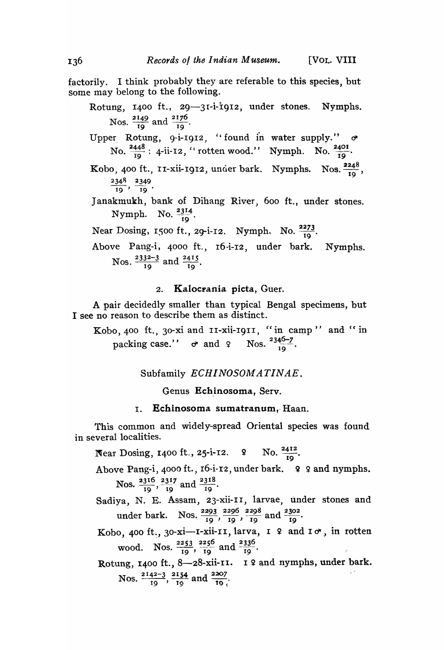factorily. I think probably they are referable to this species, but some may belong to the following.

- Rotung, 1400 ft., 29-31-i-i912, under stones. Nymphs. Nos.  $\frac{2149}{19}$  and  $\frac{2176}{10}$ .
- Upper Rotung, 9-i-1912, "found in water supply."  $\sigma$ No.  $\frac{2448}{19}$ : 4-ii-I2, "rotten wood." Nymph. No.  $\frac{2401}{19}$ .
- Kobo, 400 ft., 11-xii-1912, under bark. Nymphs. Nos.  $\frac{2248}{19}$ ,  $\frac{2348}{19}, \frac{2349}{19}.$
- Janakmukh, bank of Dihang River, 600 ft., under stones. kmukh, bank of Dil<br>Nymph. No. 2314.
- Near Dosing, 1500 ft., 29-i-12. Nymph. No.  $\frac{2273}{19}$ .
- Above Pang-i, 4000 ft., 16-i-I2, under bark. Nymphs. Nos.  $\frac{2332-3}{19}$  and  $\frac{2415}{19}$ .

# 2. Kalocrania picta, Guer.

A pair decidedly smaller than typical Bengal specimens, but I see no reason to describe them as distinct.

Kobo, 400 ft., 30-xi and II-xii-I9II, "in camp" and "in packing case.''  $\sigma$  and  $\varphi$  Nos.  $\frac{^{2346-7}}{^{10}}$ .

Subfamily *ECHINOSOMATINAE*.

Genus Echinosoma, Serv.

I. Echinosoma sumatranum, Haan.

This common and widely-spread Oriental species was found in several localities.

- Near Dosing, 1400 ft., 25-i-12. 9 No.  $\frac{2412}{19}$ .
- Above Pang-i, 4000 ft., 16-i-12, under bark. ? ? and nymphs. Nos.  $\frac{2316}{10}$ ,  $\frac{2317}{10}$  and  $\frac{2318}{10}$ . 19 und 19
- Sadiya, N. E. Assam, 23-xii-11, larvae, under stones and under bark. Nos.  $\frac{2293}{19}$ ,  $\frac{2296}{19}$ ,  $\frac{2298}{19}$  and  $\frac{2302}{19}$ .
- Kobo, 400 ft., 30-xi-I-xii-II, larva, I  $9$  and  $I \circ r$ , in rotten wood. Nos.  $\frac{2253}{19}$ ,  $\frac{2256}{19}$  and  $\frac{2336}{19}$ .

Rotung, 1400 ft., 8-28-xii-II. I ? and nymphs, under bark. Nos.  $\frac{2142-3}{19}$ ,  $\frac{2154}{19}$  and  $\frac{2207}{19}$ .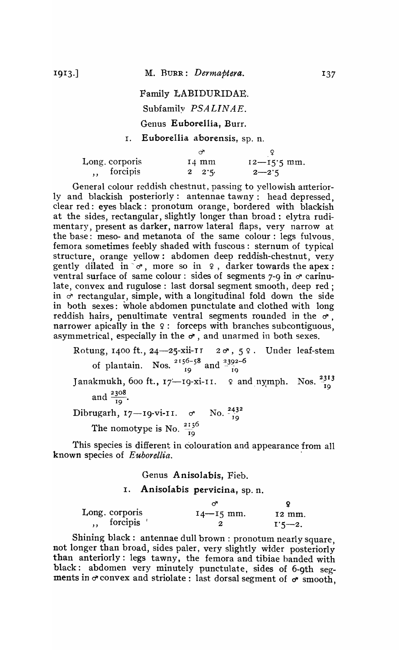Family LABIDURIDAE. Subfamily *PSALINAE.*  Genus Euborellia, Burr.

# I. Euborellia aborensis, sp. n.

| Long. corporis | $14 \text{ mm}$ | $12 - 15.5$ mm. |
|----------------|-----------------|-----------------|
| forcipis       | $2 \t2 \t3$     | $2 - 2.5$       |

General colour reddish chestnut, passing to yellowish anteriorly and blackish posteriorly: antennae tawny: head depressed. clear red: eyes black: pronotum orange, bordered with blackish at the sides, rectangular, slightly longer than broad: elytra rudimentary, present as darker, narrow lateral flaps, very narrow at the base: meso- and metanota of the same colour: legs fulvous, femora sometimes feebly shaded with fuscous: sternum of typical structure, orange yellow: abdomen deep reddish-chestnut, ver.y gently dilated in  $\sigma$ , more so in  $\varphi$ , darker towards the apex: ventral surface of same colour: sides of segments 7-9 in  $\sigma$  carinulate, convex and rugulose: last dorsal segment smooth, deep red; in *d'* rectangular, simple, with a longitudinal fold down the side in both sexes: whole abdomen punctulate and clothed with long reddish hairs, penultimate ventral segments rounded in the  $\sigma$ , narrower apically in the 9: forceps with branches subcontiguous, asymmetrical, especially in the  $\sigma$ , and unarmed in both sexes.

Rotung, 1400 ft., 24—25-xii-11  $2\sigma$ , 5  $2$ . Under leaf-stem of plantain. Nos.  $\frac{2156-58}{19}$  and  $\frac{2392-6}{19}$ Janakmukh, 600 ft.,  $17$ -19-xi-11. 9 and nymph. Nos.  $\frac{2313}{19}$ and  $\frac{2308}{19}$ .  $Dibrugarh, 17—19-vi-11.$   $\sigma$ The nomotype is No.  $\frac{2156}{19}$ No.  $\frac{243^2}{19}$ 

This species is different in colouration and appearance from all known species of *E uborellia. .* 

Genus Anisolabis, Fieb.

I. Anisolabis pervicina, sp. n.

| Long. corporis | $I4 - I5$ mm. | 12 mm.     |
|----------------|---------------|------------|
| forcipis       |               | $1.5 - 2.$ |

Shining black: antennae dull brown: pronotum nearly square, not longer than broad, sides paler, very slightly wider posteriorly than anteriorly: legs tawny, the femora and tibiae banded with black: abdomen very minutely punctulate, sides of 6-9th segments in  $\sigma$  convex and striolate: last dorsal segment of  $\sigma$  smooth,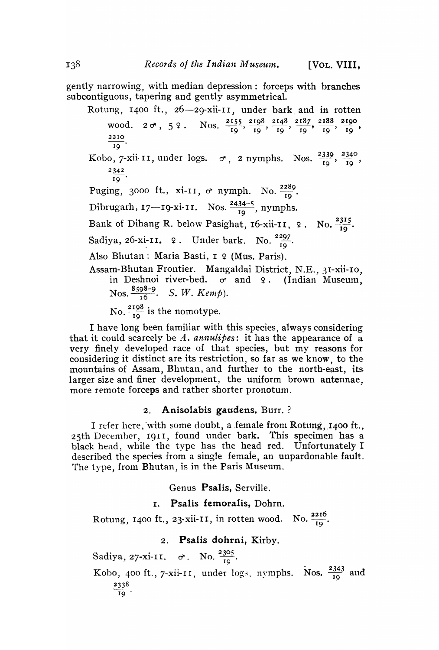gently narrowing, with median depression: forceps with branches subcontiguous, tapering and gently asymmetrical.

Rotung, 1400 ft., 26-29-xii-11, under bark and in rotten wood. 2  $\sigma$ , 5  $\Omega$ . Nos.  $\frac{2155}{19}$ ,  $\frac{2198}{19}$ ,  $\frac{2148}{19}$ ,  $\frac{2187}{19}$ ,  $\frac{2188}{19}$ ,  $\frac{2190}{19}$ ,  $19$ Kobo, 7-xii-11, under logs.  $\sigma$ , 2 nymphs. Nos.  $\frac{2339}{19}$ ,  $\frac{2340}{19}$ ,  $\frac{2342}{19}$  $rac{2342}{19}$ . Puging, 3000 ft., xi-11,  $\sigma$  nymph. No.  $\frac{2289}{19}$ . Dibrugarh,  $17$ - $19$ - $x$ i- $11$ . Nos.  $\frac{2434-5}{19}$ , nymphs. Bank of Dihang R. below Pasighat, 16-xii-II, 9. No.  $\frac{2315}{19}$ . Sadiya, 26-xi-11. 9. Under bark. No.  $\frac{2297}{19}$ . Also Bhutan: Maria Basti, I 9 (Mus. Paris). Assam-Bhutan Frontier. Mangaldai District, N.E., 3I-xii-IO, in Deshnoi river-bed.  $\sigma$  and  $\varphi$ . (Indian Museum, **Nos.**  $\frac{8598-9}{16}$ . *S. W. Kemp*). No.  $\frac{2198}{10}$  is the nomotype.

I have long been familiar with this species, always considering that it could scarcely be A. *annulipes*: it has the appearance of a very finely developed race of that species, but my reasons for considering it distinct are its restriction, so far as we know, to the mountains of Assam, Bhutan, and further to the north-east, its larger size and finer development, the uniform brown antennae, more remote forceps and rather shorter pronotum.

# 2. Anisolabis gaudens, Burr. ?

I refer here, with some doubt, a female from Rotung, 1400 ft., 25th December, 1911, found under bark. This specimen has a black head, while the type has the head red. Unfortunately I described the species from a single female, an unpardonable fault. The type, from Bhutan, is in the Paris Museum.

Genus Psalis, Serville.

# I. Psalis femoralis, Dohrn.

Rotung, 1400 ft., 23-xii-II, in rotten wood. No.  $\frac{2216}{10}$ .

# 2. Psalis dohrni, Kirby.

Sadiya, 27-xi-11.  $\sigma$ . No.  $\frac{2305}{19}$ .

Kobo, 400 ft., 7-xii-11, under logs, nymphs. Nos.  $\frac{2343}{19}$  and  $\frac{2338}{19}$ .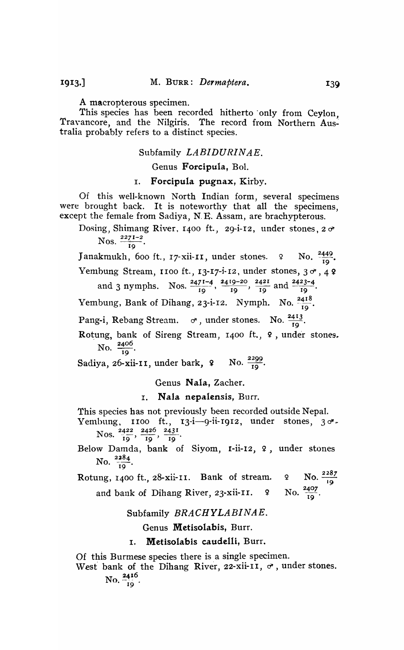1913.]

A macropterous specimen.

This species has been recorded hitherto' only from Ceylon, Travancore, and the Nilgiris. The record from Northern Australia probably refers to a distinct species.

# Subfamily *LABIDURINAE.*

Genus Forcipula, Bol.

## I. Forcipula pugnax, Kirby.

Of this well-known North Indian form, several specimens were brought back. It is noteworthy that all the specimens, except the female from Sadiya, N. E. Assam, are brachypterous.

Dosing, Shimang River, 1400 ft., 29-i-12, under stones,  $2\sigma$ Nos.  $\frac{2271-2}{19}$ .

Janakmukh, 600 ft., 17-xii-11, under stones.  $\alpha$  No.  $\frac{2449}{19}$ .

Yembung Stream, 1100 ft., 13-17-i-12, under stones, 3  $\sigma$ , 4 ?

and 3 nymphs. Nos.  $\frac{2471-4}{19}$ ,  $\frac{2419-20}{19}$ ,  $\frac{2421}{19}$  and  $\frac{2423-4}{19}$ .

Yembung, Bank of Dihang, 23-i-12. Nymph. No.  $\frac{2418}{19}$ .

Pang-i, Rebang Stream.  $\sigma$ , under stones. No.  $\frac{2413}{10}$ .

Rotung, bank of Sireng Stream, 1400 ft.,  $\frac{9}{1}$ , under stones.<br>No.  $\frac{2406}{19}$ .

Sadiya, 26-xii-11, under bark,  $\frac{2299}{10}$ .

Genus Nala, Zacher.

I. Nala nepalensis, Burr.

This species has not previously been recorded outside Nepal.

Yembung, 1100 ft., 13-i-9-ii-1912, under stones, 30<sup>1</sup>. Nos.  $\frac{2422}{19}, \frac{2426}{19}, \frac{2431}{19}$ .

Belo\v Damda, bank of Siyom, r-ii-I2, 9, under stones No.  $\frac{2284}{19}$ .

Rotung, 1400 ft., 28-xii-11. Bank of stream.  $\alpha$  No.  $\frac{2287}{19}$ 

and bank of Dihang River, 23-xii-II. 9 No.  $\frac{2407}{10}$ .

Subfamily *BRACHYLABINAE.* 

Genus Metisolabis, Burr.

### I. Metisolabis caudelli, Burr.

Of this Burmese species there is a single specimen.

West bank of the Dihang River, 22-xii-11,  $\sigma$ , under stones. No.  $\frac{2416}{10}$ .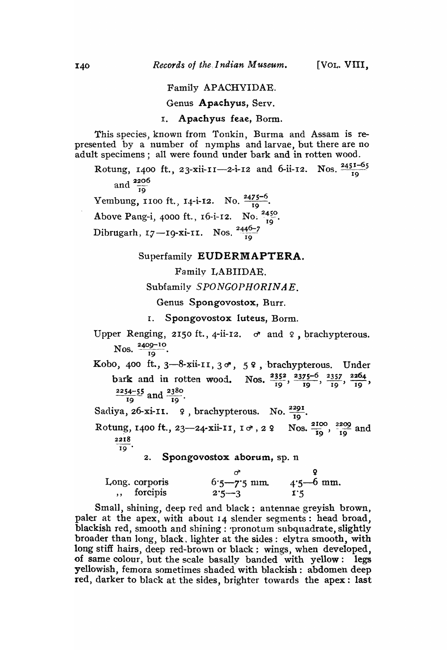### Family APACHYIDAE.

Genus Apachyus, Serv.

I. Apachyus feae, Borm.

This species, known from Tonkin, Burma and Assam is represented by a number of nymphs and larvae, but there are no adult specimens; all were found under bark and in rotten wood.

Rotung, 1400 ft., 23-xii-11--2-i-12 and 6-ii-12. Nos.  $\frac{2451-65}{19}$ and  $\frac{2206}{19}$ Yembung, 1100 ft., 14-i-12. No.  $\frac{2475-6}{19}$ . Above Pang-i, 4000 ft., 16-i-12. No.  $^{2450}_{10}$ . Dibrugarh, 17-19-xi-11. Nos.  $\frac{2446-7}{10}$ 

### Superfamily EUDERMAPTERA.

Family LABIIDAE.

Subfamily *SPONGOPHORINAE*.

Genus Spongovostox, Burr.

r. Spongovostox luteus, Borrn.

Upper Renging, 2150 ft., 4-ii-12.  $\sigma$  and  $\varphi$ , brachypterous. Nos.  $\frac{2409-10}{19}$ .

Kobo, 400 ft.,  $3-8$ -xii-II,  $3\sigma$ ,  $59$ , brachypterous. Under bark and in rotten wood. Nos.  $\frac{2352}{19}$ ,  $\frac{2375-6}{19}$ ,  $\frac{2357}{19}$ ,  $\frac{2264}{19}$ ,  $\frac{2254-55}{19}$  and  $\frac{2380}{19}$ .

Sadiya, 26-xi-11. 9, brachypterous. No.  $\frac{2291}{10}$ .

Rotung, 1400 ft., 23—24-xii-11,  $I \circ f$ , 2  $\Omega$  Nos.  $\frac{2100}{19}$ ,  $\frac{2209}{19}$  and 2218  $\overline{19}$ .

2. Spongovostox aborum, sp.  $n$ 

| Long. corporis | $6.5 - 7.5$ mm. | $4.5 - 6$ mm.  |
|----------------|-----------------|----------------|
| ,, forcipis    | $2.5 - 3$       | $\mathbf{1}$ 5 |

Small, shining, deep red and black: antennae greyish brown, paler at the apex, with about 14 slender segments: head broad, blackish red, smooth and shining: 'pronotum subquadrate, slightly broader than long, black. lighter at the sides: elytra smooth, with long stiff hairs, deep red-brown or black; wings, when developed, of same colour, but the scale basally banded' with yellow: legs yellowish, femora sometimes shaded with blackish: abdomen deep red, darker to black at the sides, brighter towards the apex: last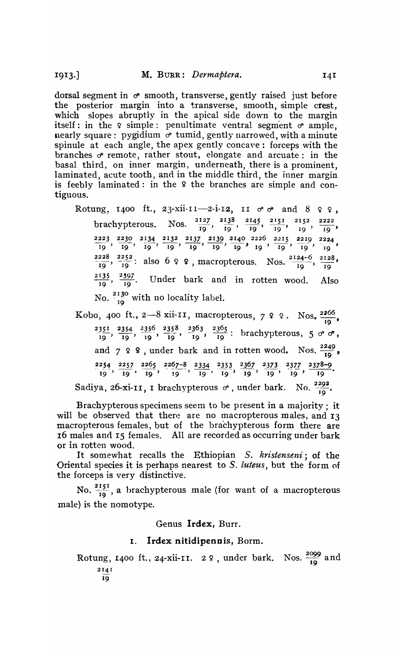dorsal segment in  $\sigma$  smooth, transverse, gently raised just before the posterior margin into a transverse, smooth, simple crest, which slopes abruptly in the apical side down to the margin itself: in the  $\varphi$  simple: penultimate ventral segment  $\sigma$  ample, nearly square: pygidium  $\sigma$  tumid, gently narrowed, with a minute spinule at each angle, the apex gently concave: forceps with the branches  $\sigma$  remote, rather stout, elongate and arcuate: in the basal third, on inner margin, underneath, there is a prominent, laminated, acute tooth, and in the middle third, the inner margin is feebly laminated: in the  $9$  the branches are simple and contiguous.

Rotung. 1400 ft., 23-xii-11-2-i-12, II  $\sigma \sigma$  and 8 9 9, brachypterous. Nos.  $\frac{2127}{19}, \frac{2138}{19}, \frac{2145}{19}, \frac{2151}{19}, \frac{2152}{19}, \frac{2222}{19}$  $\frac{2223}{19}, \frac{2230}{19}, \frac{2134}{19}, \frac{2132}{19}, \frac{2137}{19}, \frac{2139}{19}, \frac{2140}{19}, \frac{2226}{19}, \frac{2215}{19}, \frac{2219}{19}, \frac{2224}{19}$  $\frac{2228}{19}$ ,  $\frac{2252}{19}$ : also 6 9 9, macropterous. Nos.  $\frac{2124-6}{19}$ ,  $\frac{2128}{19}$  $\frac{2135}{19}$ ,  $\frac{2397}{19}$ . Under bark and in rotten wood. Also No.  $\frac{2130}{19}$  with no locality label.

Kobo, 400 ft., 2-8 xii-11, macropterous,  $799.$  Nos.  $\frac{2266}{19}$ ,  $\frac{2351}{19}$ ,  $\frac{2354}{19}$ ,  $\frac{2356}{19}$ ,  $\frac{2358}{19}$ ,  $\frac{2363}{19}$ ,  $\frac{2365}{19}$ : hrachypterous, 5  $\sigma$   $\sigma$ , and 7 9 9, under bark and in rotten wood. Nos.  $\frac{2249}{19}$ ,  $\frac{2254}{19}, \frac{2257}{19}, \frac{2265}{19}, \frac{2267-8}{19}, \frac{2334}{19}, \frac{2353}{19}, \frac{2367}{19}, \frac{2373}{19}, \frac{2377}{19}, \frac{2378-9}{19}.$ Sadiya, 26-xi-II, I brachypterous  $\sigma$ , under bark. No.  $\frac{2292}{19}$ .

Brachypterous specimens seem to be present in a majority; it will be observed that there are no macropterous males, and 13 macropterous females, but of the brachypterous form there are 16 males and 15 females. All are recorded as occurring under bark or in rotten wood.

It somewhat recalls the Ethiopian *S. kristenseni;* of the Oriental species it is perhaps nearest to *S. luteus*, but the form of the forceps is very distinctive.

No.  $\frac{2151}{19}$ , a brachypterous male (for want of a macropterous male) is the nomotype.

Genus Irdex, Burr.

#### I. lrdex nitidipenois, Borm.

Rotung, 1400 ft., 24-xii-11. 2 <del>9</del>, under bark. Nos.  $\frac{2099}{19}$  and 2141 19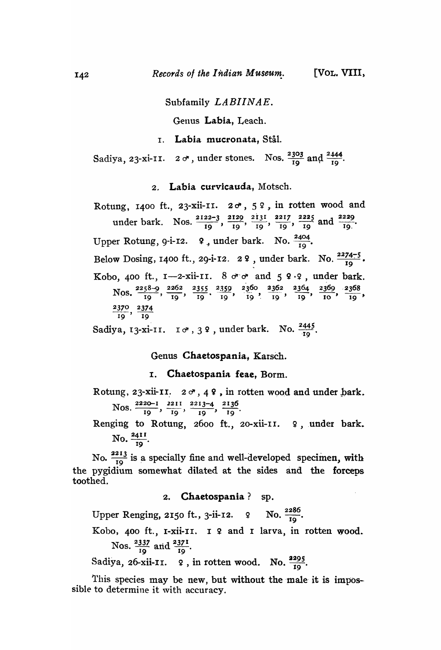# Subfamily *LABIINAE.*

Genus Labia, Leach.

# I. Labia mucronata, Stal.

Sadiya, 23-xi-11.  $2 \sigma$ , under stones. Nos.  $\frac{2303}{19}$  and  $\frac{2444}{19}$ .

## 2. Labia curvicauda, Motsch.

Rotung, 1400 ft., 23-xii-11.  $2\sigma$ ,  $5\,$   $9$ , in rotten wood and under bark. Nos.  $\frac{2122-3}{19}$ ,  $\frac{2129}{19}$ ,  $\frac{2131}{19}$ ,  $\frac{2217}{19}$ ,  $\frac{2225}{19}$  and  $\frac{2229}{19}$ . Upper Rotung, 9-i-12.  $\varphi$ , under bark. No.  $\frac{2404}{10}$ . Below Dosing, 1400 ft., 29-i-12. 2 9, under bark. No.  $\frac{2274-5}{10}$ . Kobo, 400 ft.,  $I$ -2-xii-11.  $8 \text{ or } \text{ or }$  and  $5$   $9.9$ , under bark. Nos.  $\frac{2258-9}{19}$ ,  $\frac{2262}{19}$ ,  $\frac{2355}{19}$ ,  $\frac{2359}{19}$ ,  $\frac{2360}{19}$ ,  $\frac{2362}{19}$ ,  $\frac{2364}{19}$ ,  $\frac{2369}{10}$ ,  $\frac{2368}{19}$ ,  $\frac{2370}{19}$ ,  $\frac{2374}{19}$ Sadiya, 13-xi-II.  $I \circ f$ , 3 ?, under bark. No.  $\frac{2445}{10}$ .

Genus Chaetospania, Karsch.

# I. Chaetospania feae, Borm.

Rotung, 23-xii-II.  $2\sigma$ , 49, in rotten wood and under bark. Nos  $\frac{2220-1}{2211}$  2211 2213-4 2136 os.  $\frac{2226}{19}$ ,  $\frac{2211}{19}$ ,  $\frac{22134}{19}$ ,  $\frac{2130}{19}$ .

Renging to Rotung, 2600 ft., 20-xii-II.  $9$ , under bark. No.  $\frac{2411}{19}$ .

No.  $\frac{2213}{19}$  is a specially fine and well-developed specimen, with the pygidium somewhat dilated at the sides and the forceps toothed.

2. Chaetospania? sp.

Upper Renging, 2150 ft., 3-ii-12. 9 No.  $\frac{2286}{19}$ .

Kobo, 400 ft., I-xii-II. I º and I larva, in rotten wood. Nos.  $\frac{2337}{19}$  and  $\frac{2371}{19}$ .

Sadiya, 26-xii-II.  $\varphi$ , in rotten wood. No.  $\frac{2295}{10}$ .

This species may be new, but without the male it is impossible to determine it with accuracy.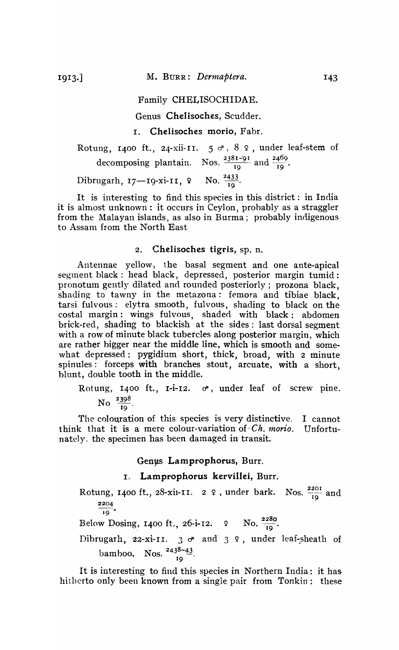### Family CHELISOCHIDAE.

Genus CheIisoches, Scudder.

## I. Chelisoches morio, Fabr.

Rotung, 1400 ft., 24-xii-11.  $5 \circ 8$  ,  $8$  , under leaf-stem of ng, 1400 ft., 24-xii-11.  $5 \circ 8$ <br>decomposing plantain. Nos.  $\frac{23814}{19}$  $\frac{1-91}{9}$  and  $\frac{2469}{19}$ . Dibrugarh, 17-19-xi-11, 9 No.  $\frac{2433}{10}$ .

It is interesting to find this species in this district: in India it is almost unknown: it occurs in Ceylon, probably as a straggler from the Malayan islands, as also in Burma; probably indigenous to Assam from the North East

### 2. Chelisoches tigris, sp. n.

Antennae yellow, the basal segment and one ante-apical segment black: head black, depressed, posterior margin tumid: pronotum gently dilated and rounded posteriorly; prozona black, shading to tawny in the metazona: femora and tibiae black, tarsi fulvous: elytra smooth, fulvous, shading to black on the costal margin: wings fulvous, shaded with black: abdomen brick-red, shading to blackish at the sides: last dorsal segment with a row of minute black tubercles along posterior margin, which are rather bigger near the middle line, which is smooth and somewhat depressed: pygidium short, thick, broad, with 2 minute spinules: forceps with branches stout, arcuate, with a short, blunt, double tooth in the middle.

Rotung, 1400 ft., 1-i-12.  $\sigma$ , under leaf of screw pine. No  $\frac{2398}{19}$ .

The colouration of this species is very distinctive. I cannot think that it is a mere colour-variation of  $Ch.$  *morio.* Unfortunately. the specimen has been damaged in transit.

### Genus Lamprophorus, Burr.

# I. Lamprophorus kervillei, Burr.

Rotung, 1400 ft., 28-xii-11. 2  $\varphi$ , under bark. Nos.  $\frac{2201}{19}$  and 2204  $19$ Below Dosing, 1400 ft., 26-i-12. 9 No.  $\frac{2280}{19}$ . Dibrugarh, 22-xi-11. 3  $\sigma$  and 3 9, under leaf-sheath of bamboo. Nos.  $2438-43$ . 19

It is interesting to find this species in Northern India: it has hitherto only been known from a single pair from Tonkin: these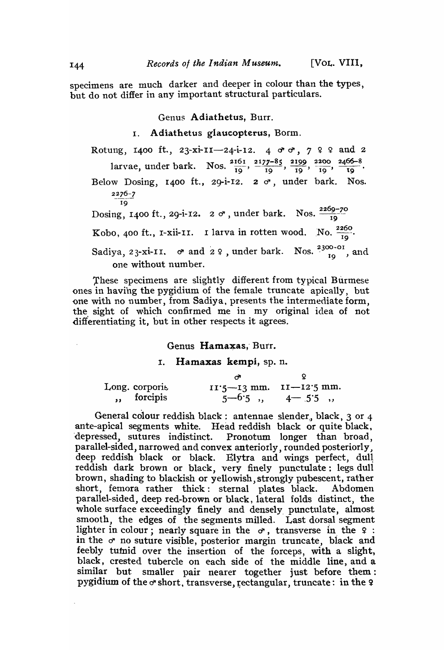specimens are much darker and deeper in colour than the types, but do not differ in any important structural particulars.

### Genus Adiathetus, Burr.

## I. Adiathetus glaucopterus, Borm.

Rotung, 1400 ft., 23-xi-11-24-i-12. 4  $\sigma \sigma$ , 7  $9$   $9$  and 2 larvae, under bark. Nos.  $\frac{2161}{19}$ ,  $\frac{2177-85}{19}$ ,  $\frac{2199}{19}$ ,  $\frac{2200}{19}$ ,  $\frac{2466-8}{19}$ . Below Dosing, 1400 ft., 29-i-12.  $2 \sigma$ , under bark. Nos.  $2276 - 7$ 19 Dosing, 1400 ft., 29-i-12.  $2 \sigma$ , under bark. Nos.  $\frac{2269-70}{19}$ Kobo, 400 ft., I-xii-II. I larva in rotten wood. No.  $\frac{2260}{10}$ Sadiya, 23-xi-11.  $\sigma$  and 2 ?, under bark. Nos.  $\frac{2300 - 01}{19}$ , and one without number.

These specimens are slightly different from typical Burmese ones in having the pygidium of the female truncate apically, but one with no number, from Sadiya, presents the intermediate form, the sight of which confirmed me in my original idea of not differentiating it, but in other respects it agrees.

Genus Hamaxas, Burr.

#### 1. Hamaxas kempi, sp. n.

|                | . v                                   |
|----------------|---------------------------------------|
| Long. corporis | $II^{\prime}5$ -13 mm. $II$ -12.5 mm. |
| ,, forcipis    | $5 - 6.5$ , $4 - 5.5$ ,               |

General colour reddish black: antennae slender, black,  $3$  or  $4$ ante-apical segments white. Head reddish black or quite black, depressed, sutures indistinct. Pronotum longer than broad, parallel-sided, narrowed and convex anteriorly, rounded posteriorly, deep reddish black or black. Elytra and wings perfect, dull reddish dark brown or black, very finely punctulate: legs dull brown, shading to blackish or yellowish, strongly pubescent, rather short, femora rather thick: sternal plates black. Abdomen parallel-sided, deep red-brown or black, lateral folds distinct, the whole surface exceedingly finely and densely, punctulate, almost smooth, the edges of the segments milled. Last dorsal segment lighter in colour; nearly square in the  $\sigma$ , transverse in the  $\varphi$ : in the  $\sigma$  no suture visible, posterior margin truncate, black and feebly tutnid over the insertion of the forceps, with a slight, black, crested tubercle on each side of the middle line, and a  $similar$  but smaller pair nearer together just before them: pygidium of the  $\sigma$  short, transverse, rectangular, truncate: in the  $\varphi$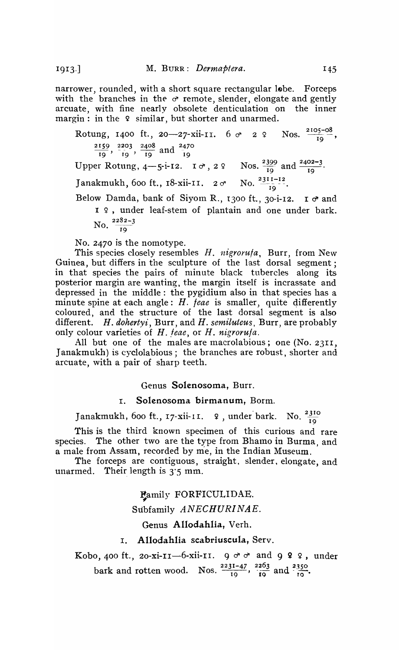1913.]

narrower, rounded, with a short square rectangular lobe. Forceps with the branches in the  $\sigma$  remote, slender, elongate and gently arcuate, with fine nearly obsolete denticulation on the inner margin: in the 9 similar, but shorter and unarmed.

m. in the  $\frac{1}{4}$  shimar, but shorter and unarmed.<br>Rotung, 1400 ft., 20—27-xii-11. 6  $\sigma$  2  $\frac{2}{1}$  Nos.  $\frac{2105-08}{19}$  $\frac{2159}{19}$ ,  $\frac{2203}{19}$ ,  $\frac{2408}{19}$  and  $\frac{2470}{19}$ Upper Rotung,  $4-5$ -i-12.  $1 \sigma$ ,  $2 \theta$  Nos.  $\frac{2399}{19}$  and  $\frac{2402-3}{19}$ . Janakmukh, 600 ft., I8-xii-II.  $2\sigma$  No.  $\frac{2311-12}{19}$ .

Below Damda, bank of Siyom R., 1300 ft., 30-i-12. I  $\sigma$  and 1 º, under leaf-stem of plantain and one under bark. No.  $\frac{2282-3}{19}$ 

No. 2470 is the nomotype.

This species closely resembles *H. nigrorufa,* Burr, from Ne\v Guinea, but differs in the sculpture of the last dorsal segment; in that species the pairs of minute black tubercles along its posterior margin are wanting, the margin itself is incrassate and depressed in the middle: the pygidium also in that species has a minute spine at each angle:  $H.$  feae is smaller, quite differently coloured, and the structure of the last dorsal segment is also different. *H. dohertyi,* Burr, and *H. semiluteus,* Burr, are probably only colour varieties of *H. feae*, or *H. nigrorufa.* 

All but one of the males are macrolabious; one (No. 2311, Janakmukh) is cyclolabious; the branches are robust, shorter and arcuate, with a pair of sharp teeth.

Genus Solenosoma, Burr.

## 1. Solenosoma birmanum, Borm.

Janakmukh, 600 ft., 17-xii-11.  $\varphi$ , under bark. No.  $\frac{2310}{19}$ 

This is the third known specimen of this curious and rare species. The other two are the type from Bhamo in Burma, and a male from Assam, recorded by me, in the Indian Museum.

The forceps are contiguous, straight, slender, elongate, and unarmed. Their length is  $3'5$  mm.

Family FORFICULIDAE.

Subfamily *ANECHURINAE.* 

## Genus Allodahlia, Verh.

## 1. Allodahlia scabriuscula, Serv.

Kobo, 400 ft., 20-xi-II-6-xii-II.  $9 \circ \circ$  and  $9 \circ 9$ , under bark and rotten wood. Nos.  $\frac{2231-47}{19}$ ,  $\frac{2263}{19}$  and  $\frac{2350}{10}$ .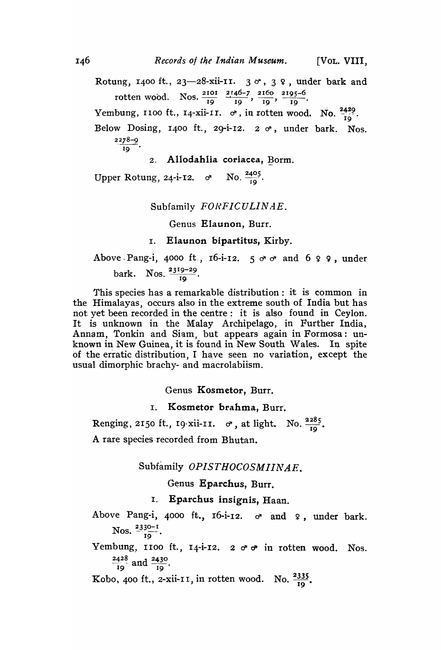Rotung, 1400 ft., 23-28-xii-11.  $3 \text{ } \sigma$ ,  $3 \text{ } \varphi$ , under bark and rotten wood. Nos.  $\frac{2101}{19}$   $\frac{2146-7}{19}$ ,  $\frac{2160}{19}$ ,  $\frac{2195-6}{19}$ . Yembung, 1100 ft., 14-xii-11.  $\sigma$ , in rotten wood. No.  $\frac{2429}{19}$ . Below Dosing, 1400 ft., 29-i-12.  $2 \sigma$ , under bark. Nos. 2:z8-9  $\overline{19}$ .

2. Allodahlia coriacea, Borm.

Upper Rotung, 24-i-12.  $\sigma$  No.  $\frac{2405}{19}$ .

# Subfamily *FONFICULINAE.*

Genus Elaunon, Burr.

1. Elaunon bipartitus. Kirby.

Above Pang-i, 4000 ft., 16-i-12.  $5 \circ \circ$  and  $6 \circ \circ$ , under bark. Nos.  $\frac{2319-29}{19}$ .

This species has a remarkable distribution: it is common in the Himalayas, occurs also in the extreme south of. India but has not yet been recorded in the centre: it is also found in Ceylon. It is unknown in the Malay Archipelago, in Further India, Annam, Tonkin and Siam, but appears again in Formosa: unknown in New Guinea, it is found in New South Wales. In spite of the erratic distribution, I have seen no variation, except the usual dimorphic brachy- and macrolabiism.

Genus Kosmetor, Burr.

## 1. Kosmetor brahma, Burr.

I. Kosmetor brahma, Burr.<br>Renging, 2150 ft., 19-xii-11. *o*, at light. No.  $\frac{2285}{19}$ . A rare species recorded from Bhutan.

Subfamily *OPISTHOCOSMIINAE*.

# Genus Eparchus, Burr.

I. Eparchus insignis, Haan.

Above Pang-i, 4000 ft., 16-i-12.  $\sigma$  and  $\varphi$ , under bark.  $N$ os.  $2330-1$ . 19 •

Yembung, 1100 ft., 14-i-12. 2  $\sigma \sigma$  in rotten wood. Nos.  $\frac{2428}{ }$  and  $\frac{2430}{ }$ . 19 <sup>19</sup> 19

Kobo, 400 ft., 2-xii-11, in rotten wood. No.  $\frac{2335}{19}$ .